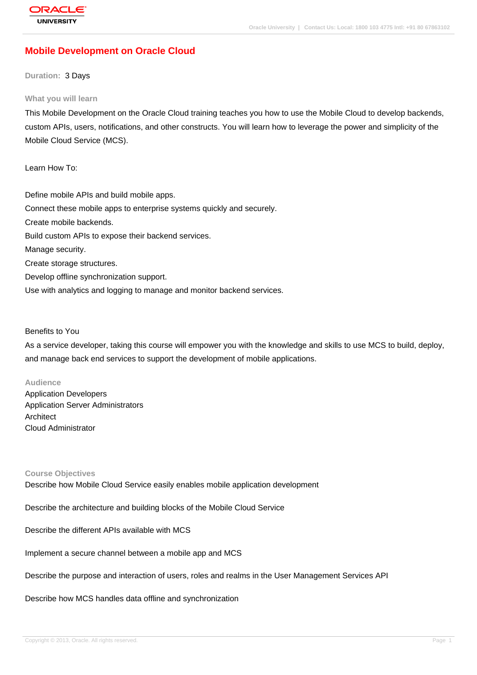# **[Mobile Develop](http://education.oracle.com/pls/web_prod-plq-dad/db_pages.getpage?page_id=3)ment on Oracle Cloud**

## **Duration:** 3 Days

## **What you will learn**

This Mobile Development on the Oracle Cloud training teaches you how to use the Mobile Cloud to develop backends, custom APIs, users, notifications, and other constructs. You will learn how to leverage the power and simplicity of the Mobile Cloud Service (MCS).

Learn How To:

Define mobile APIs and build mobile apps. Connect these mobile apps to enterprise systems quickly and securely. Create mobile backends. Build custom APIs to expose their backend services. Manage security. Create storage structures. Develop offline synchronization support. Use with analytics and logging to manage and monitor backend services.

## Benefits to You

As a service developer, taking this course will empower you with the knowledge and skills to use MCS to build, deploy, and manage back end services to support the development of mobile applications.

## **Audience**

Application Developers Application Server Administrators **Architect** Cloud Administrator

## **Course Objectives**

Describe how Mobile Cloud Service easily enables mobile application development

Describe the architecture and building blocks of the Mobile Cloud Service

Describe the different APIs available with MCS

Implement a secure channel between a mobile app and MCS

Describe the purpose and interaction of users, roles and realms in the User Management Services API

Describe how MCS handles data offline and synchronization